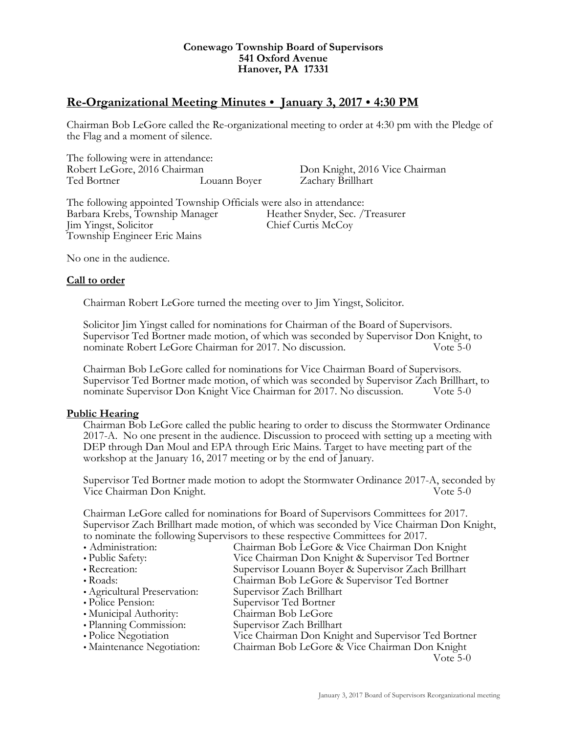#### **Conewago Township Board of Supervisors 541 Oxford Avenue Hanover, PA 17331**

# **Re-Organizational Meeting Minutes January 3, 2017 4:30 PM**

Chairman Bob LeGore called the Re-organizational meeting to order at 4:30 pm with the Pledge of the Flag and a moment of silence.

The following were in attendance: Robert LeGore, 2016 Chairman Don Knight, 2016 Vice Chairman Ted Bortner Louann Boyer Zachary Brillhart

The following appointed Township Officials were also in attendance: Barbara Krebs, Township Manager Heather Snyder, Sec. /Treasurer Jim Yingst, Solicitor Chief Curtis McCoy Township Engineer Eric Mains

No one in the audience.

# **Call to order**

Chairman Robert LeGore turned the meeting over to Jim Yingst, Solicitor.

Solicitor Jim Yingst called for nominations for Chairman of the Board of Supervisors. Supervisor Ted Bortner made motion, of which was seconded by Supervisor Don Knight, to nominate Robert LeGore Chairman for 2017. No discussion. Vote 5-0

Chairman Bob LeGore called for nominations for Vice Chairman Board of Supervisors. Supervisor Ted Bortner made motion, of which was seconded by Supervisor Zach Brillhart, to nominate Supervisor Don Knight Vice Chairman for 2017. No discussion. Vote 5-0

# **Public Hearing**

Chairman Bob LeGore called the public hearing to order to discuss the Stormwater Ordinance 2017-A. No one present in the audience. Discussion to proceed with setting up a meeting with DEP through Dan Moul and EPA through Eric Mains. Target to have meeting part of the workshop at the January 16, 2017 meeting or by the end of January.

Supervisor Ted Bortner made motion to adopt the Stormwater Ordinance 2017-A, seconded by Vice Chairman Don Knight. Vote 5-0

Chairman LeGore called for nominations for Board of Supervisors Committees for 2017.<br>Supervisor Zach Brillhart made motion, of which was seconded by Vice Chairman Don Knight,<br>to nominate the following Supervisors to these

• Administration: Chairman Bob LeGore & Vice Chairman Don Knight Public Safety: Vice Chairman Don Knight & Supervisor Ted Bortner Recreation: Supervisor Louann Boyer & Supervisor Zach Brillhart Roads: Chairman Bob LeGore & Supervisor Ted Bortner Agricultural Preservation: Supervisor Zach Brillhart Police Pension: Supervisor Ted Bortner Municipal Authority: Chairman Bob LeGore • Planning Commission: Supervisor Zach Brillhart<br>• Police Negotiation Vice Chairman Don Knig Vice Chairman Don Knight and Supervisor Ted Bortner • Maintenance Negotiation: Chairman Bob LeGore & Vice Chairman Don Knight

Vote 5-0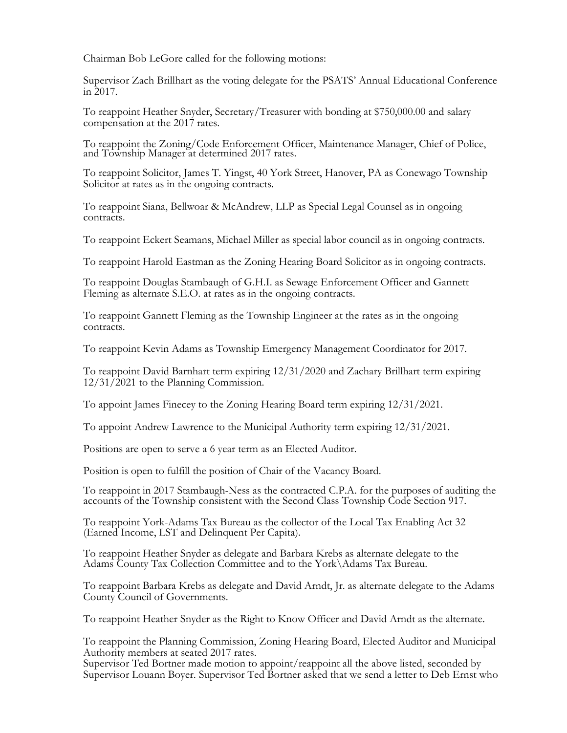Chairman Bob LeGore called for the following motions:

Supervisor Zach Brillhart as the voting delegate for the PSATS' Annual Educational Conference in 2017.

To reappoint Heather Snyder, Secretary/Treasurer with bonding at \$750,000.00 and salary compensation at the 2017 rates.

To reappoint the Zoning/Code Enforcement Officer, Maintenance Manager, Chief of Police, and Township Manager at determined 2017 rates.

To reappoint Solicitor, James T. Yingst, 40 York Street, Hanover, PA as Conewago Township Solicitor at rates as in the ongoing contracts.

To reappoint Siana, Bellwoar & McAndrew, LLP as Special Legal Counsel as in ongoing contracts.

To reappoint Eckert Seamans, Michael Miller as special labor council as in ongoing contracts.

To reappoint Harold Eastman as the Zoning Hearing Board Solicitor as in ongoing contracts.

To reappoint Douglas Stambaugh of G.H.I. as Sewage Enforcement Officer and Gannett Fleming as alternate S.E.O. at rates as in the ongoing contracts.

To reappoint Gannett Fleming as the Township Engineer at the rates as in the ongoing contracts.

To reappoint Kevin Adams as Township Emergency Management Coordinator for 2017.

To reappoint David Barnhart term expiring 12/31/2020 and Zachary Brillhart term expiring 12/31/2021 to the Planning Commission.

To appoint James Finecey to the Zoning Hearing Board term expiring 12/31/2021.

To appoint Andrew Lawrence to the Municipal Authority term expiring 12/31/2021.

Positions are open to serve a 6 year term as an Elected Auditor.

Position is open to fulfill the position of Chair of the Vacancy Board.

To reappoint in 2017 Stambaugh-Ness as the contracted C.P.A. for the purposes of auditing the accounts of the Township consistent with the Second Class Township Code Section 917.

To reappoint York-Adams Tax Bureau as the collector of the Local Tax Enabling Act 32 (Earned Income, LST and Delinquent Per Capita).

To reappoint Heather Snyder as delegate and Barbara Krebs as alternate delegate to the Adams County Tax Collection Committee and to the York\Adams Tax Bureau.

To reappoint Barbara Krebs as delegate and David Arndt, Jr. as alternate delegate to the Adams County Council of Governments.

To reappoint Heather Snyder as the Right to Know Officer and David Arndt as the alternate.

To reappoint the Planning Commission, Zoning Hearing Board, Elected Auditor and Municipal Authority members at seated 2017 rates.

Supervisor Ted Bortner made motion to appoint/reappoint all the above listed, seconded by Supervisor Louann Boyer. Supervisor Ted Bortner asked that we send a letter to Deb Ernst who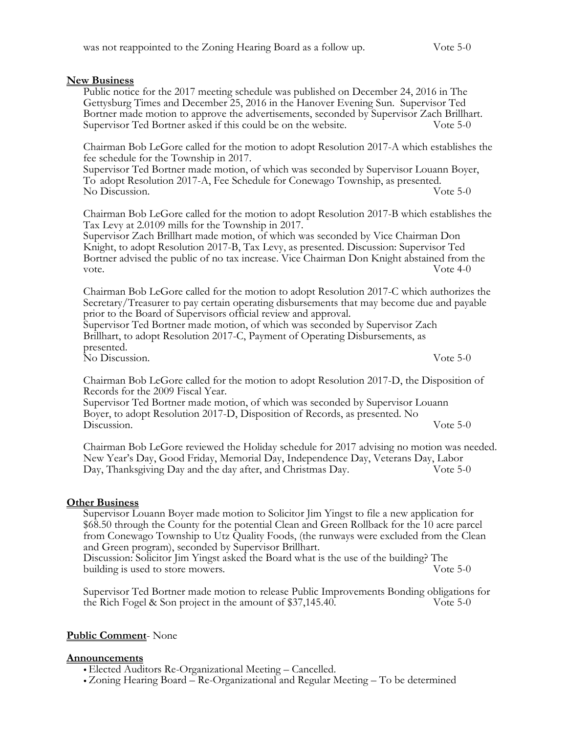# **New Business**

Public notice for the 2017 meeting schedule was published on December 24, 2016 in The Gettysburg Times and December 25, 2016 in the Hanover Evening Sun. Supervisor Ted Bortner made motion to approve the advertisements, seconded by Supervisor Zach Brillhart. Supervisor Ted Bortner asked if this could be on the website. Vote 5-0

Chairman Bob LeGore called for the motion to adopt Resolution 2017-A which establishes the fee schedule for the Township in 2017.<br>Supervisor Ted Bortner made motion, of which was seconded by Supervisor Louann Boyer,

To adopt Resolution 2017-A, Fee Schedule for Conewago Township, as presented. No Discussion. Vote 5-0

Chairman Bob LeGore called for the motion to adopt Resolution 2017-B which establishes the

Tax Levy at 2.0109 mills for the Township in 2017. Supervisor Zach Brillhart made motion, of which was seconded by Vice Chairman Don Knight, to adopt Resolution 2017-B, Tax Levy, as presented. Discussion: Supervisor Ted Bortner advised the public of no tax increase. Vice Chairman Don Knight abstained from the vote. Vote 4-0

Chairman Bob LeGore called for the motion to adopt Resolution 2017-C which authorizes the Secretary/Treasurer to pay certain operating disbursements that may become due and payable

prior to the Board of Supervisors official review and approval. Supervisor Ted Bortner made motion, of which was seconded by Supervisor Zach Brillhart, to adopt Resolution 2017-C, Payment of Operating Disbursements, as presented. No Discussion. Vote 5-0

Chairman Bob LeGore called for the motion to adopt Resolution 2017-D, the Disposition of Records for the 2009 Fiscal Year.

Supervisor Ted Bortner made motion, of which was seconded by Supervisor Louann Boyer, to adopt Resolution 2017-D, Disposition of Records, as presented. No Discussion. Vote 5-0

Chairman Bob LeGore reviewed the Holiday schedule for 2017 advising no motion was needed. New Year's Day, Good Friday, Memorial Day, Independence Day, Veterans Day, Labor Day, Thanksgiving Day and the day after, and Christmas Day. Vote 5-0

# **Other Business**

Supervisor Louann Boyer made motion to Solicitor Jim Yingst to file a new application for \$68.50 through the County for the potential Clean and Green Rollback for the 10 acre parcel from Conewago Township to Utz Quality Foods, (the runways were excluded from the Clean and Green program), seconded by Supervisor Brillhart. Discussion: Solicitor Jim Yingst asked the Board what is the use of the building? The

building is used to store mowers. Vote 5-0

Supervisor Ted Bortner made motion to release Public Improvements Bonding obligations for the Rich Fogel & Son project in the amount of \$37,145.40. Vote 5-0

# **Public Comment**- None

#### **Announcements**

Elected Auditors Re-Organizational Meeting – Cancelled.

Zoning Hearing Board – Re-Organizational and Regular Meeting – To be determined